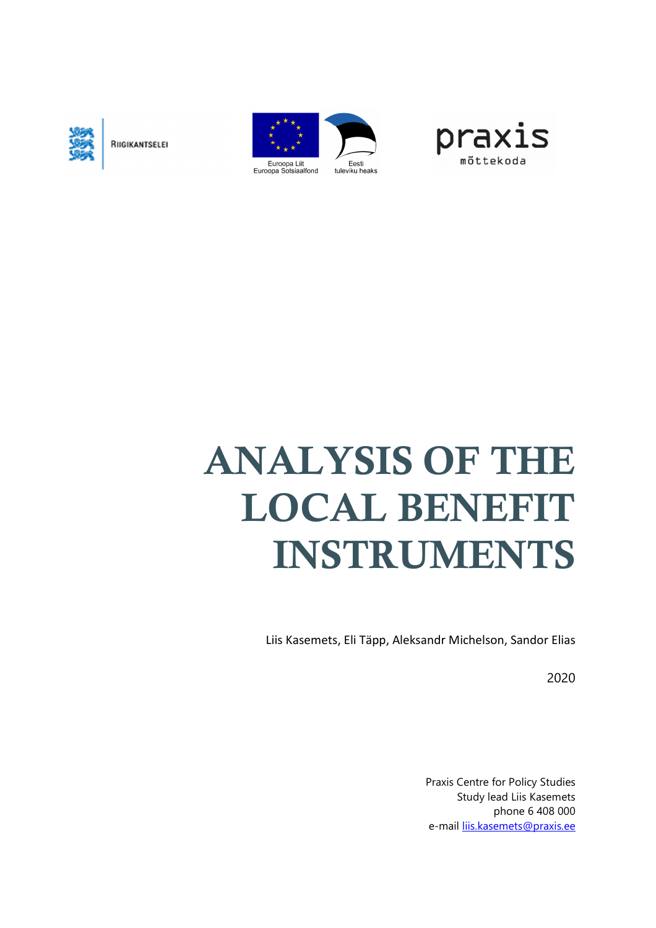

RIIGIKANTSELEI





# **ANALYSIS OF THE LOCAL BENEFIT INSTRUMENTS**

Liis Kasemets, Eli Täpp, Aleksandr Michelson, Sandor Elias

2020

Praxis Centre for Policy Studies Study lead Liis Kasemets phone 6 408 000 e-mail liis.kasemets@praxis.ee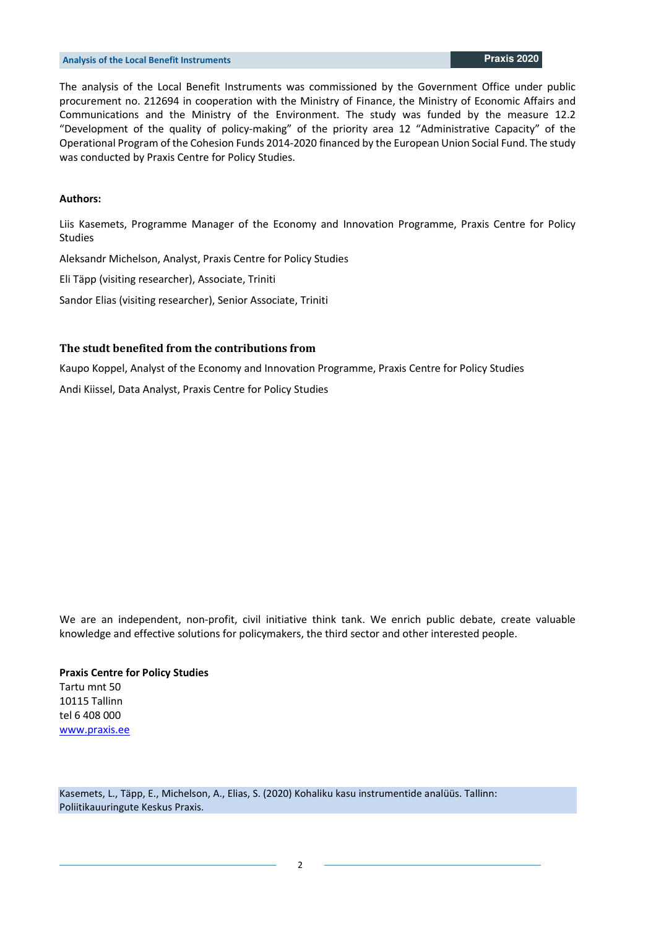The analysis of the Local Benefit Instruments was commissioned by the Government Office under public procurement no. 212694 in cooperation with the Ministry of Finance, the Ministry of Economic Affairs and Communications and the Ministry of the Environment. The study was funded by the measure 12.2 "Development of the quality of policy-making" of the priority area 12 "Administrative Capacity" of the Operational Program of the Cohesion Funds 2014-2020 financed by the European Union Social Fund. The study was conducted by Praxis Centre for Policy Studies.

#### **Authors:**

Liis Kasemets, Programme Manager of the Economy and Innovation Programme, Praxis Centre for Policy Studies

Aleksandr Michelson, Analyst, Praxis Centre for Policy Studies

Eli Täpp (visiting researcher), Associate, Triniti

Sandor Elias (visiting researcher), Senior Associate, Triniti

#### **The studt benefited from the contributions from**

Kaupo Koppel, Analyst of the Economy and Innovation Programme, Praxis Centre for Policy Studies

Andi Kiissel, Data Analyst, Praxis Centre for Policy Studies

We are an independent, non-profit, civil initiative think tank. We enrich public debate, create valuable knowledge and effective solutions for policymakers, the third sector and other interested people.

#### **Praxis Centre for Policy Studies** Tartu mnt 50

10115 Tallinn tel 6 408 000 www.praxis.ee

Kasemets, L., Täpp, E., Michelson, A., Elias, S. (2020) Kohaliku kasu instrumentide analüüs. Tallinn: Poliitikauuringute Keskus Praxis.

 $\overline{\phantom{a}}$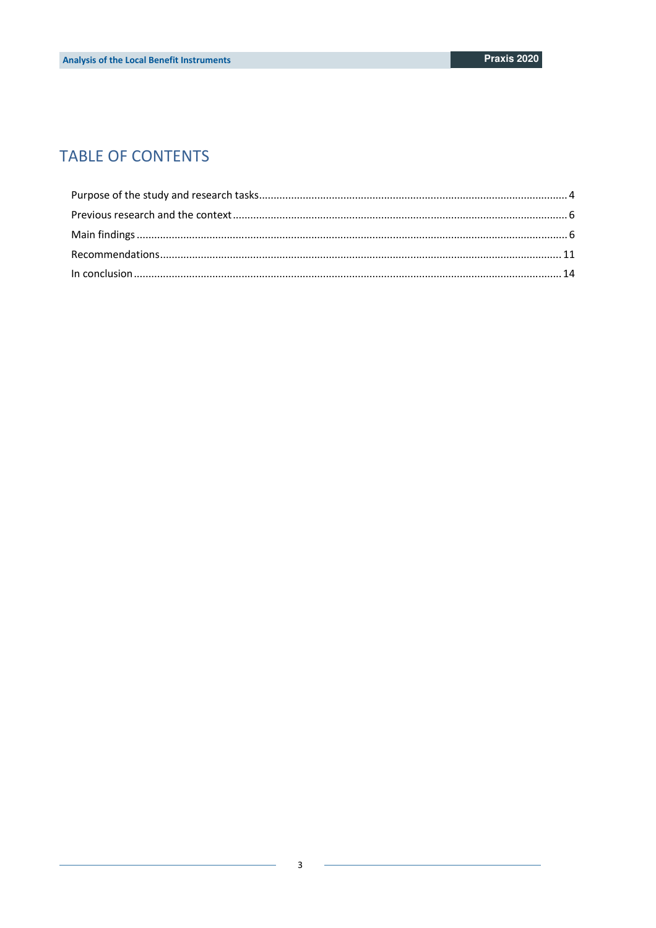## **TABLE OF CONTENTS**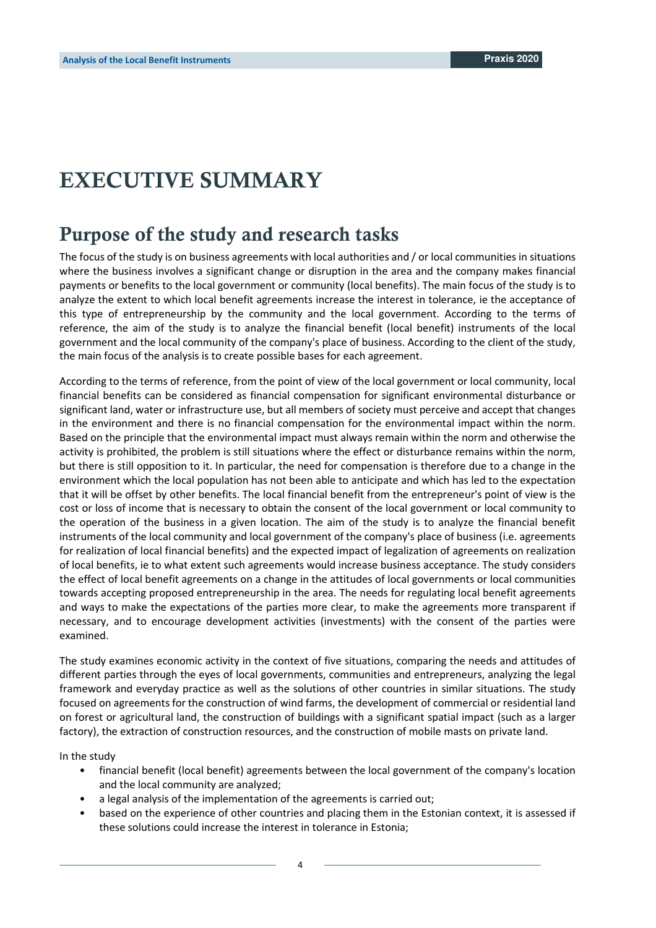## **EXECUTIVE SUMMARY**

## **Purpose of the study and research tasks**

The focus of the study is on business agreements with local authorities and / or local communities in situations where the business involves a significant change or disruption in the area and the company makes financial payments or benefits to the local government or community (local benefits). The main focus of the study is to analyze the extent to which local benefit agreements increase the interest in tolerance, ie the acceptance of this type of entrepreneurship by the community and the local government. According to the terms of reference, the aim of the study is to analyze the financial benefit (local benefit) instruments of the local government and the local community of the company's place of business. According to the client of the study, the main focus of the analysis is to create possible bases for each agreement.

According to the terms of reference, from the point of view of the local government or local community, local financial benefits can be considered as financial compensation for significant environmental disturbance or significant land, water or infrastructure use, but all members of society must perceive and accept that changes in the environment and there is no financial compensation for the environmental impact within the norm. Based on the principle that the environmental impact must always remain within the norm and otherwise the activity is prohibited, the problem is still situations where the effect or disturbance remains within the norm, but there is still opposition to it. In particular, the need for compensation is therefore due to a change in the environment which the local population has not been able to anticipate and which has led to the expectation that it will be offset by other benefits. The local financial benefit from the entrepreneur's point of view is the cost or loss of income that is necessary to obtain the consent of the local government or local community to the operation of the business in a given location. The aim of the study is to analyze the financial benefit instruments of the local community and local government of the company's place of business (i.e. agreements for realization of local financial benefits) and the expected impact of legalization of agreements on realization of local benefits, ie to what extent such agreements would increase business acceptance. The study considers the effect of local benefit agreements on a change in the attitudes of local governments or local communities towards accepting proposed entrepreneurship in the area. The needs for regulating local benefit agreements and ways to make the expectations of the parties more clear, to make the agreements more transparent if necessary, and to encourage development activities (investments) with the consent of the parties were examined.

The study examines economic activity in the context of five situations, comparing the needs and attitudes of different parties through the eyes of local governments, communities and entrepreneurs, analyzing the legal framework and everyday practice as well as the solutions of other countries in similar situations. The study focused on agreements for the construction of wind farms, the development of commercial or residential land on forest or agricultural land, the construction of buildings with a significant spatial impact (such as a larger factory), the extraction of construction resources, and the construction of mobile masts on private land.

In the study

- financial benefit (local benefit) agreements between the local government of the company's location and the local community are analyzed;
- a legal analysis of the implementation of the agreements is carried out;
- based on the experience of other countries and placing them in the Estonian context, it is assessed if these solutions could increase the interest in tolerance in Estonia;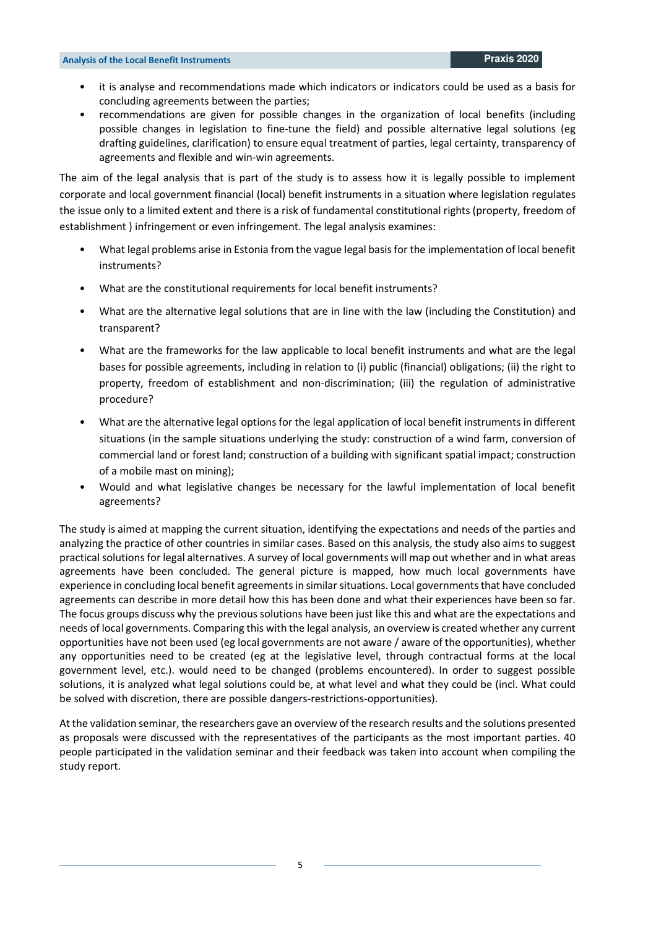- it is analyse and recommendations made which indicators or indicators could be used as a basis for concluding agreements between the parties;
- recommendations are given for possible changes in the organization of local benefits (including possible changes in legislation to fine-tune the field) and possible alternative legal solutions (eg drafting guidelines, clarification) to ensure equal treatment of parties, legal certainty, transparency of agreements and flexible and win-win agreements.

The aim of the legal analysis that is part of the study is to assess how it is legally possible to implement corporate and local government financial (local) benefit instruments in a situation where legislation regulates the issue only to a limited extent and there is a risk of fundamental constitutional rights (property, freedom of establishment ) infringement or even infringement. The legal analysis examines:

- What legal problems arise in Estonia from the vague legal basis for the implementation of local benefit instruments?
- What are the constitutional requirements for local benefit instruments?
- What are the alternative legal solutions that are in line with the law (including the Constitution) and transparent?
- What are the frameworks for the law applicable to local benefit instruments and what are the legal bases for possible agreements, including in relation to (i) public (financial) obligations; (ii) the right to property, freedom of establishment and non-discrimination; (iii) the regulation of administrative procedure?
- What are the alternative legal options for the legal application of local benefit instruments in different situations (in the sample situations underlying the study: construction of a wind farm, conversion of commercial land or forest land; construction of a building with significant spatial impact; construction of a mobile mast on mining);
- Would and what legislative changes be necessary for the lawful implementation of local benefit agreements?

The study is aimed at mapping the current situation, identifying the expectations and needs of the parties and analyzing the practice of other countries in similar cases. Based on this analysis, the study also aims to suggest practical solutions for legal alternatives. A survey of local governments will map out whether and in what areas agreements have been concluded. The general picture is mapped, how much local governments have experience in concluding local benefit agreements in similar situations. Local governments that have concluded agreements can describe in more detail how this has been done and what their experiences have been so far. The focus groups discuss why the previous solutions have been just like this and what are the expectations and needs of local governments. Comparing this with the legal analysis, an overview is created whether any current opportunities have not been used (eg local governments are not aware / aware of the opportunities), whether any opportunities need to be created (eg at the legislative level, through contractual forms at the local government level, etc.). would need to be changed (problems encountered). In order to suggest possible solutions, it is analyzed what legal solutions could be, at what level and what they could be (incl. What could be solved with discretion, there are possible dangers-restrictions-opportunities).

At the validation seminar, the researchers gave an overview of the research results and the solutions presented as proposals were discussed with the representatives of the participants as the most important parties. 40 people participated in the validation seminar and their feedback was taken into account when compiling the study report.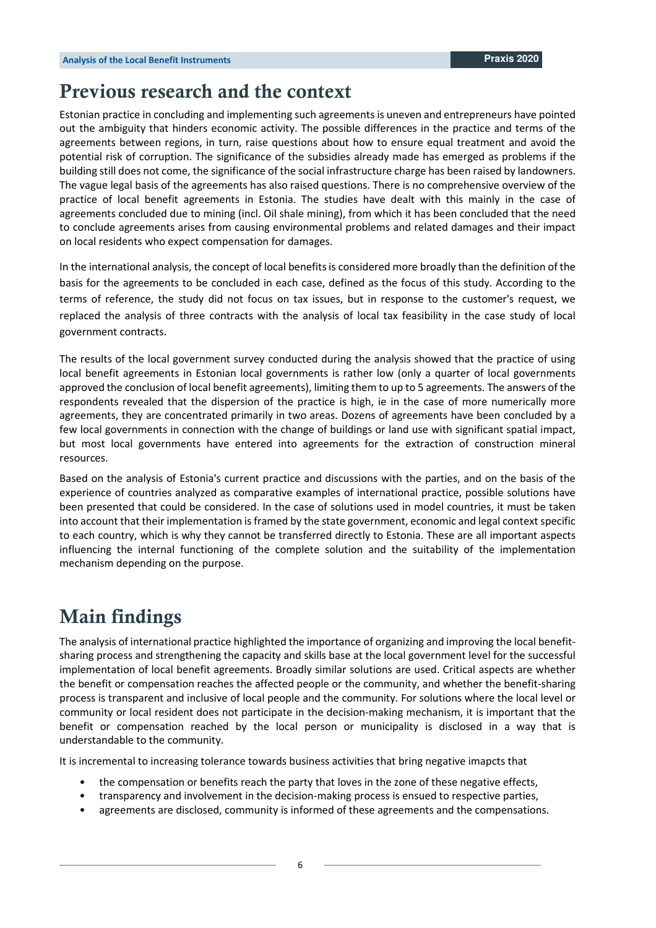## **Previous research and the context**

Estonian practice in concluding and implementing such agreements is uneven and entrepreneurs have pointed out the ambiguity that hinders economic activity. The possible differences in the practice and terms of the agreements between regions, in turn, raise questions about how to ensure equal treatment and avoid the potential risk of corruption. The significance of the subsidies already made has emerged as problems if the building still does not come, the significance of the social infrastructure charge has been raised by landowners. The vague legal basis of the agreements has also raised questions. There is no comprehensive overview of the practice of local benefit agreements in Estonia. The studies have dealt with this mainly in the case of agreements concluded due to mining (incl. Oil shale mining), from which it has been concluded that the need to conclude agreements arises from causing environmental problems and related damages and their impact on local residents who expect compensation for damages.

In the international analysis, the concept of local benefits is considered more broadly than the definition of the basis for the agreements to be concluded in each case, defined as the focus of this study. According to the terms of reference, the study did not focus on tax issues, but in response to the customer's request, we replaced the analysis of three contracts with the analysis of local tax feasibility in the case study of local government contracts.

The results of the local government survey conducted during the analysis showed that the practice of using local benefit agreements in Estonian local governments is rather low (only a quarter of local governments approved the conclusion of local benefit agreements), limiting them to up to 5 agreements. The answers of the respondents revealed that the dispersion of the practice is high, ie in the case of more numerically more agreements, they are concentrated primarily in two areas. Dozens of agreements have been concluded by a few local governments in connection with the change of buildings or land use with significant spatial impact, but most local governments have entered into agreements for the extraction of construction mineral resources.

Based on the analysis of Estonia's current practice and discussions with the parties, and on the basis of the experience of countries analyzed as comparative examples of international practice, possible solutions have been presented that could be considered. In the case of solutions used in model countries, it must be taken into account that their implementation is framed by the state government, economic and legal context specific to each country, which is why they cannot be transferred directly to Estonia. These are all important aspects influencing the internal functioning of the complete solution and the suitability of the implementation mechanism depending on the purpose.

## **Main findings**

The analysis of international practice highlighted the importance of organizing and improving the local benefitsharing process and strengthening the capacity and skills base at the local government level for the successful implementation of local benefit agreements. Broadly similar solutions are used. Critical aspects are whether the benefit or compensation reaches the affected people or the community, and whether the benefit-sharing process is transparent and inclusive of local people and the community. For solutions where the local level or community or local resident does not participate in the decision-making mechanism, it is important that the benefit or compensation reached by the local person or municipality is disclosed in a way that is understandable to the community.

It is incremental to increasing tolerance towards business activities that bring negative imapcts that

- the compensation or benefits reach the party that loves in the zone of these negative effects,
- transparency and involvement in the decision-making process is ensued to respective parties,
- agreements are disclosed, community is informed of these agreements and the compensations.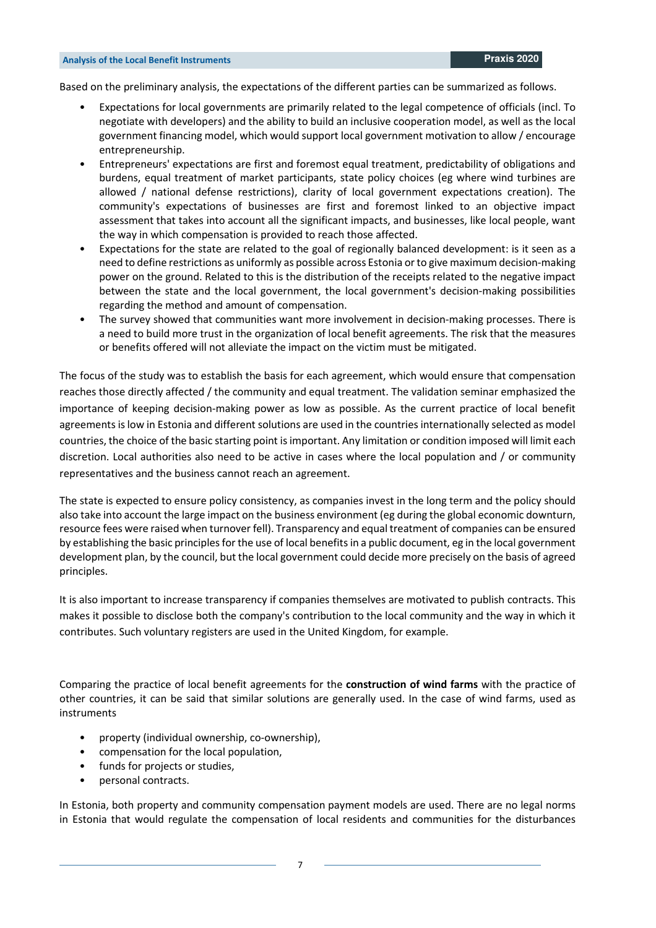Based on the preliminary analysis, the expectations of the different parties can be summarized as follows.

- Expectations for local governments are primarily related to the legal competence of officials (incl. To negotiate with developers) and the ability to build an inclusive cooperation model, as well as the local government financing model, which would support local government motivation to allow / encourage entrepreneurship.
- Entrepreneurs' expectations are first and foremost equal treatment, predictability of obligations and burdens, equal treatment of market participants, state policy choices (eg where wind turbines are allowed / national defense restrictions), clarity of local government expectations creation). The community's expectations of businesses are first and foremost linked to an objective impact assessment that takes into account all the significant impacts, and businesses, like local people, want the way in which compensation is provided to reach those affected.
- Expectations for the state are related to the goal of regionally balanced development: is it seen as a need to define restrictions as uniformly as possible across Estonia or to give maximum decision-making power on the ground. Related to this is the distribution of the receipts related to the negative impact between the state and the local government, the local government's decision-making possibilities regarding the method and amount of compensation.
- The survey showed that communities want more involvement in decision-making processes. There is a need to build more trust in the organization of local benefit agreements. The risk that the measures or benefits offered will not alleviate the impact on the victim must be mitigated.

The focus of the study was to establish the basis for each agreement, which would ensure that compensation reaches those directly affected / the community and equal treatment. The validation seminar emphasized the importance of keeping decision-making power as low as possible. As the current practice of local benefit agreements is low in Estonia and different solutions are used in the countries internationally selected as model countries, the choice of the basic starting point is important. Any limitation or condition imposed will limit each discretion. Local authorities also need to be active in cases where the local population and / or community representatives and the business cannot reach an agreement.

The state is expected to ensure policy consistency, as companies invest in the long term and the policy should also take into account the large impact on the business environment (eg during the global economic downturn, resource fees were raised when turnover fell). Transparency and equal treatment of companies can be ensured by establishing the basic principles for the use of local benefits in a public document, eg in the local government development plan, by the council, but the local government could decide more precisely on the basis of agreed principles.

It is also important to increase transparency if companies themselves are motivated to publish contracts. This makes it possible to disclose both the company's contribution to the local community and the way in which it contributes. Such voluntary registers are used in the United Kingdom, for example.

Comparing the practice of local benefit agreements for the **construction of wind farms** with the practice of other countries, it can be said that similar solutions are generally used. In the case of wind farms, used as instruments

- property (individual ownership, co-ownership),
- compensation for the local population,
- funds for projects or studies,
- personal contracts.

In Estonia, both property and community compensation payment models are used. There are no legal norms in Estonia that would regulate the compensation of local residents and communities for the disturbances

7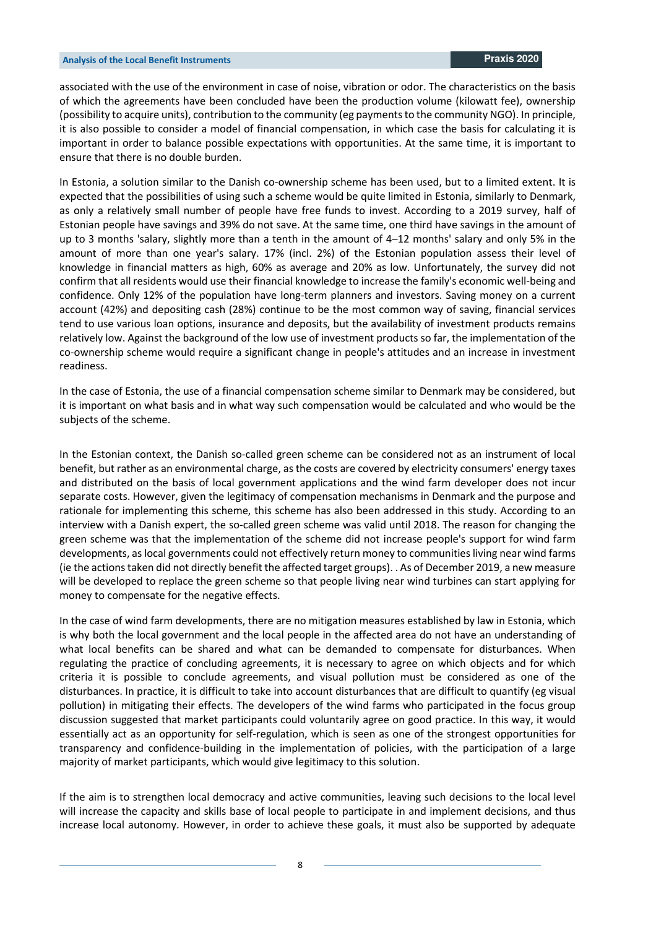associated with the use of the environment in case of noise, vibration or odor. The characteristics on the basis of which the agreements have been concluded have been the production volume (kilowatt fee), ownership (possibility to acquire units), contribution to the community (eg payments to the community NGO). In principle, it is also possible to consider a model of financial compensation, in which case the basis for calculating it is important in order to balance possible expectations with opportunities. At the same time, it is important to ensure that there is no double burden.

In Estonia, a solution similar to the Danish co-ownership scheme has been used, but to a limited extent. It is expected that the possibilities of using such a scheme would be quite limited in Estonia, similarly to Denmark, as only a relatively small number of people have free funds to invest. According to a 2019 survey, half of Estonian people have savings and 39% do not save. At the same time, one third have savings in the amount of up to 3 months 'salary, slightly more than a tenth in the amount of 4–12 months' salary and only 5% in the amount of more than one year's salary. 17% (incl. 2%) of the Estonian population assess their level of knowledge in financial matters as high, 60% as average and 20% as low. Unfortunately, the survey did not confirm that all residents would use their financial knowledge to increase the family's economic well-being and confidence. Only 12% of the population have long-term planners and investors. Saving money on a current account (42%) and depositing cash (28%) continue to be the most common way of saving, financial services tend to use various loan options, insurance and deposits, but the availability of investment products remains relatively low. Against the background of the low use of investment products so far, the implementation of the co-ownership scheme would require a significant change in people's attitudes and an increase in investment readiness.

In the case of Estonia, the use of a financial compensation scheme similar to Denmark may be considered, but it is important on what basis and in what way such compensation would be calculated and who would be the subjects of the scheme.

In the Estonian context, the Danish so-called green scheme can be considered not as an instrument of local benefit, but rather as an environmental charge, as the costs are covered by electricity consumers' energy taxes and distributed on the basis of local government applications and the wind farm developer does not incur separate costs. However, given the legitimacy of compensation mechanisms in Denmark and the purpose and rationale for implementing this scheme, this scheme has also been addressed in this study. According to an interview with a Danish expert, the so-called green scheme was valid until 2018. The reason for changing the green scheme was that the implementation of the scheme did not increase people's support for wind farm developments, as local governments could not effectively return money to communities living near wind farms (ie the actions taken did not directly benefit the affected target groups). . As of December 2019, a new measure will be developed to replace the green scheme so that people living near wind turbines can start applying for money to compensate for the negative effects.

In the case of wind farm developments, there are no mitigation measures established by law in Estonia, which is why both the local government and the local people in the affected area do not have an understanding of what local benefits can be shared and what can be demanded to compensate for disturbances. When regulating the practice of concluding agreements, it is necessary to agree on which objects and for which criteria it is possible to conclude agreements, and visual pollution must be considered as one of the disturbances. In practice, it is difficult to take into account disturbances that are difficult to quantify (eg visual pollution) in mitigating their effects. The developers of the wind farms who participated in the focus group discussion suggested that market participants could voluntarily agree on good practice. In this way, it would essentially act as an opportunity for self-regulation, which is seen as one of the strongest opportunities for transparency and confidence-building in the implementation of policies, with the participation of a large majority of market participants, which would give legitimacy to this solution.

If the aim is to strengthen local democracy and active communities, leaving such decisions to the local level will increase the capacity and skills base of local people to participate in and implement decisions, and thus increase local autonomy. However, in order to achieve these goals, it must also be supported by adequate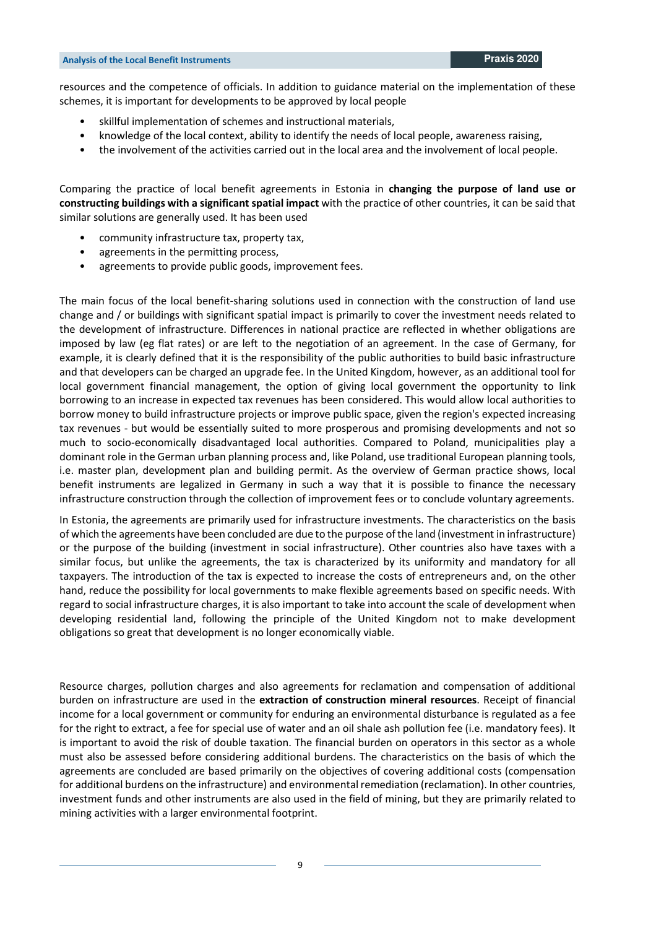resources and the competence of officials. In addition to guidance material on the implementation of these schemes, it is important for developments to be approved by local people

- skillful implementation of schemes and instructional materials,
- knowledge of the local context, ability to identify the needs of local people, awareness raising,
- the involvement of the activities carried out in the local area and the involvement of local people.

Comparing the practice of local benefit agreements in Estonia in **changing the purpose of land use or constructing buildings with a significant spatial impact** with the practice of other countries, it can be said that similar solutions are generally used. It has been used

- community infrastructure tax, property tax,
- agreements in the permitting process,
- agreements to provide public goods, improvement fees.

The main focus of the local benefit-sharing solutions used in connection with the construction of land use change and / or buildings with significant spatial impact is primarily to cover the investment needs related to the development of infrastructure. Differences in national practice are reflected in whether obligations are imposed by law (eg flat rates) or are left to the negotiation of an agreement. In the case of Germany, for example, it is clearly defined that it is the responsibility of the public authorities to build basic infrastructure and that developers can be charged an upgrade fee. In the United Kingdom, however, as an additional tool for local government financial management, the option of giving local government the opportunity to link borrowing to an increase in expected tax revenues has been considered. This would allow local authorities to borrow money to build infrastructure projects or improve public space, given the region's expected increasing tax revenues - but would be essentially suited to more prosperous and promising developments and not so much to socio-economically disadvantaged local authorities. Compared to Poland, municipalities play a dominant role in the German urban planning process and, like Poland, use traditional European planning tools, i.e. master plan, development plan and building permit. As the overview of German practice shows, local benefit instruments are legalized in Germany in such a way that it is possible to finance the necessary infrastructure construction through the collection of improvement fees or to conclude voluntary agreements.

In Estonia, the agreements are primarily used for infrastructure investments. The characteristics on the basis of which the agreements have been concluded are due to the purpose of the land (investment in infrastructure) or the purpose of the building (investment in social infrastructure). Other countries also have taxes with a similar focus, but unlike the agreements, the tax is characterized by its uniformity and mandatory for all taxpayers. The introduction of the tax is expected to increase the costs of entrepreneurs and, on the other hand, reduce the possibility for local governments to make flexible agreements based on specific needs. With regard to social infrastructure charges, it is also important to take into account the scale of development when developing residential land, following the principle of the United Kingdom not to make development obligations so great that development is no longer economically viable.

Resource charges, pollution charges and also agreements for reclamation and compensation of additional burden on infrastructure are used in the **extraction of construction mineral resources**. Receipt of financial income for a local government or community for enduring an environmental disturbance is regulated as a fee for the right to extract, a fee for special use of water and an oil shale ash pollution fee (i.e. mandatory fees). It is important to avoid the risk of double taxation. The financial burden on operators in this sector as a whole must also be assessed before considering additional burdens. The characteristics on the basis of which the agreements are concluded are based primarily on the objectives of covering additional costs (compensation for additional burdens on the infrastructure) and environmental remediation (reclamation). In other countries, investment funds and other instruments are also used in the field of mining, but they are primarily related to mining activities with a larger environmental footprint.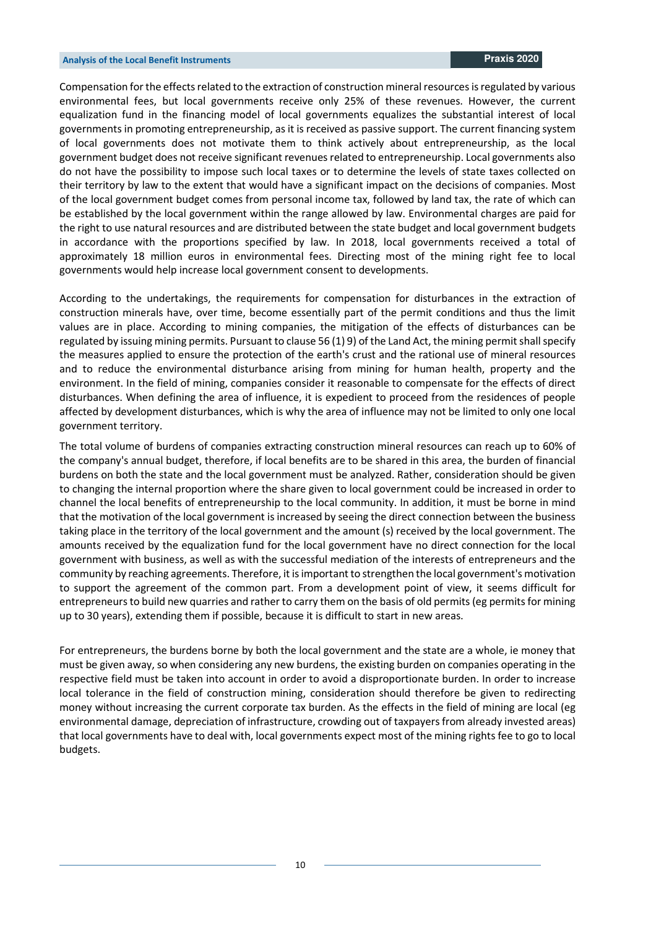Compensation for the effects related to the extraction of construction mineral resources is regulated by various environmental fees, but local governments receive only 25% of these revenues. However, the current equalization fund in the financing model of local governments equalizes the substantial interest of local governments in promoting entrepreneurship, as it is received as passive support. The current financing system of local governments does not motivate them to think actively about entrepreneurship, as the local government budget does not receive significant revenues related to entrepreneurship. Local governments also do not have the possibility to impose such local taxes or to determine the levels of state taxes collected on their territory by law to the extent that would have a significant impact on the decisions of companies. Most of the local government budget comes from personal income tax, followed by land tax, the rate of which can be established by the local government within the range allowed by law. Environmental charges are paid for the right to use natural resources and are distributed between the state budget and local government budgets in accordance with the proportions specified by law. In 2018, local governments received a total of approximately 18 million euros in environmental fees. Directing most of the mining right fee to local governments would help increase local government consent to developments.

According to the undertakings, the requirements for compensation for disturbances in the extraction of construction minerals have, over time, become essentially part of the permit conditions and thus the limit values are in place. According to mining companies, the mitigation of the effects of disturbances can be regulated by issuing mining permits. Pursuant to clause 56 (1) 9) of the Land Act, the mining permit shall specify the measures applied to ensure the protection of the earth's crust and the rational use of mineral resources and to reduce the environmental disturbance arising from mining for human health, property and the environment. In the field of mining, companies consider it reasonable to compensate for the effects of direct disturbances. When defining the area of influence, it is expedient to proceed from the residences of people affected by development disturbances, which is why the area of influence may not be limited to only one local government territory.

The total volume of burdens of companies extracting construction mineral resources can reach up to 60% of the company's annual budget, therefore, if local benefits are to be shared in this area, the burden of financial burdens on both the state and the local government must be analyzed. Rather, consideration should be given to changing the internal proportion where the share given to local government could be increased in order to channel the local benefits of entrepreneurship to the local community. In addition, it must be borne in mind that the motivation of the local government is increased by seeing the direct connection between the business taking place in the territory of the local government and the amount (s) received by the local government. The amounts received by the equalization fund for the local government have no direct connection for the local government with business, as well as with the successful mediation of the interests of entrepreneurs and the community by reaching agreements. Therefore, it is important to strengthen the local government's motivation to support the agreement of the common part. From a development point of view, it seems difficult for entrepreneurs to build new quarries and rather to carry them on the basis of old permits (eg permits for mining up to 30 years), extending them if possible, because it is difficult to start in new areas.

For entrepreneurs, the burdens borne by both the local government and the state are a whole, ie money that must be given away, so when considering any new burdens, the existing burden on companies operating in the respective field must be taken into account in order to avoid a disproportionate burden. In order to increase local tolerance in the field of construction mining, consideration should therefore be given to redirecting money without increasing the current corporate tax burden. As the effects in the field of mining are local (eg environmental damage, depreciation of infrastructure, crowding out of taxpayers from already invested areas) that local governments have to deal with, local governments expect most of the mining rights fee to go to local budgets.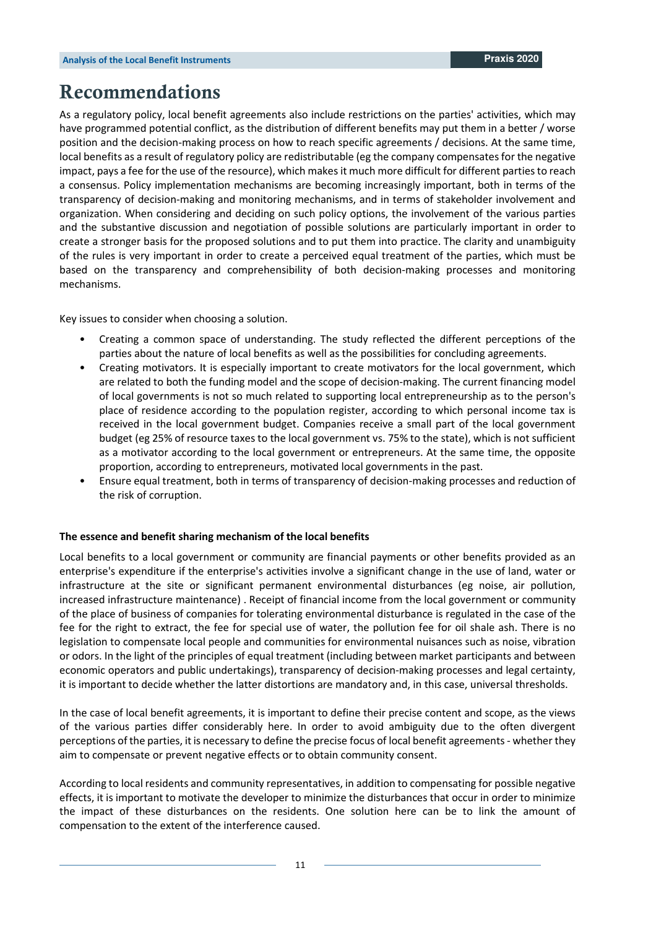## **Recommendations**

As a regulatory policy, local benefit agreements also include restrictions on the parties' activities, which may have programmed potential conflict, as the distribution of different benefits may put them in a better / worse position and the decision-making process on how to reach specific agreements / decisions. At the same time, local benefits as a result of regulatory policy are redistributable (eg the company compensates for the negative impact, pays a fee for the use of the resource), which makes it much more difficult for different parties to reach a consensus. Policy implementation mechanisms are becoming increasingly important, both in terms of the transparency of decision-making and monitoring mechanisms, and in terms of stakeholder involvement and organization. When considering and deciding on such policy options, the involvement of the various parties and the substantive discussion and negotiation of possible solutions are particularly important in order to create a stronger basis for the proposed solutions and to put them into practice. The clarity and unambiguity of the rules is very important in order to create a perceived equal treatment of the parties, which must be based on the transparency and comprehensibility of both decision-making processes and monitoring mechanisms.

Key issues to consider when choosing a solution.

- Creating a common space of understanding. The study reflected the different perceptions of the parties about the nature of local benefits as well as the possibilities for concluding agreements.
- Creating motivators. It is especially important to create motivators for the local government, which are related to both the funding model and the scope of decision-making. The current financing model of local governments is not so much related to supporting local entrepreneurship as to the person's place of residence according to the population register, according to which personal income tax is received in the local government budget. Companies receive a small part of the local government budget (eg 25% of resource taxes to the local government vs. 75% to the state), which is not sufficient as a motivator according to the local government or entrepreneurs. At the same time, the opposite proportion, according to entrepreneurs, motivated local governments in the past.
- Ensure equal treatment, both in terms of transparency of decision-making processes and reduction of the risk of corruption.

#### **The essence and benefit sharing mechanism of the local benefits**

Local benefits to a local government or community are financial payments or other benefits provided as an enterprise's expenditure if the enterprise's activities involve a significant change in the use of land, water or infrastructure at the site or significant permanent environmental disturbances (eg noise, air pollution, increased infrastructure maintenance) . Receipt of financial income from the local government or community of the place of business of companies for tolerating environmental disturbance is regulated in the case of the fee for the right to extract, the fee for special use of water, the pollution fee for oil shale ash. There is no legislation to compensate local people and communities for environmental nuisances such as noise, vibration or odors. In the light of the principles of equal treatment (including between market participants and between economic operators and public undertakings), transparency of decision-making processes and legal certainty, it is important to decide whether the latter distortions are mandatory and, in this case, universal thresholds.

In the case of local benefit agreements, it is important to define their precise content and scope, as the views of the various parties differ considerably here. In order to avoid ambiguity due to the often divergent perceptions of the parties, it is necessary to define the precise focus of local benefit agreements - whether they aim to compensate or prevent negative effects or to obtain community consent.

According to local residents and community representatives, in addition to compensating for possible negative effects, it is important to motivate the developer to minimize the disturbances that occur in order to minimize the impact of these disturbances on the residents. One solution here can be to link the amount of compensation to the extent of the interference caused.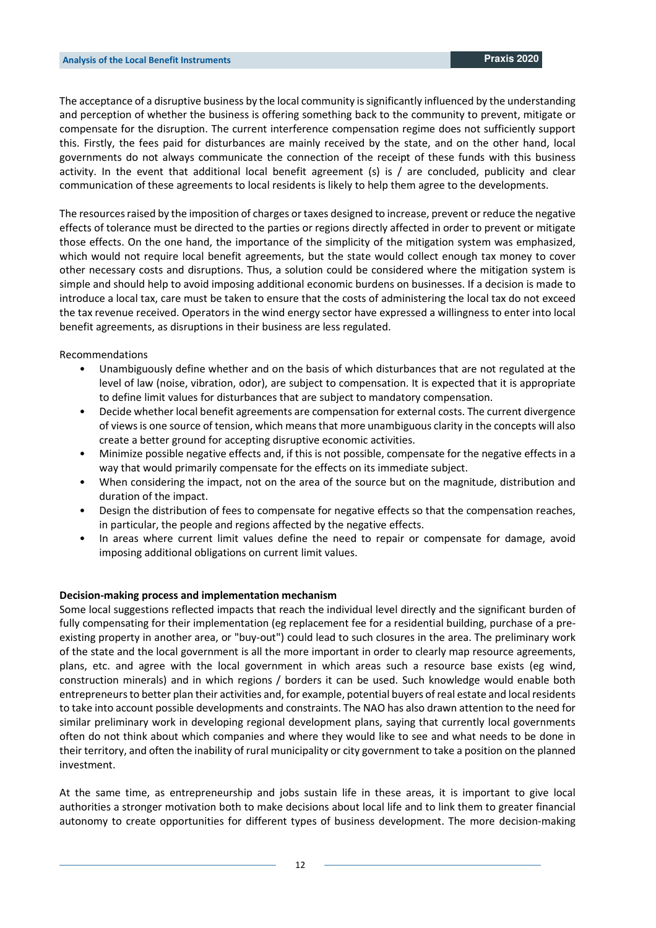The acceptance of a disruptive business by the local community is significantly influenced by the understanding and perception of whether the business is offering something back to the community to prevent, mitigate or compensate for the disruption. The current interference compensation regime does not sufficiently support this. Firstly, the fees paid for disturbances are mainly received by the state, and on the other hand, local governments do not always communicate the connection of the receipt of these funds with this business activity. In the event that additional local benefit agreement (s) is / are concluded, publicity and clear communication of these agreements to local residents is likely to help them agree to the developments.

The resources raised by the imposition of charges or taxes designed to increase, prevent or reduce the negative effects of tolerance must be directed to the parties or regions directly affected in order to prevent or mitigate those effects. On the one hand, the importance of the simplicity of the mitigation system was emphasized, which would not require local benefit agreements, but the state would collect enough tax money to cover other necessary costs and disruptions. Thus, a solution could be considered where the mitigation system is simple and should help to avoid imposing additional economic burdens on businesses. If a decision is made to introduce a local tax, care must be taken to ensure that the costs of administering the local tax do not exceed the tax revenue received. Operators in the wind energy sector have expressed a willingness to enter into local benefit agreements, as disruptions in their business are less regulated.

Recommendations

- Unambiguously define whether and on the basis of which disturbances that are not regulated at the level of law (noise, vibration, odor), are subject to compensation. It is expected that it is appropriate to define limit values for disturbances that are subject to mandatory compensation.
- Decide whether local benefit agreements are compensation for external costs. The current divergence of views is one source of tension, which means that more unambiguous clarity in the concepts will also create a better ground for accepting disruptive economic activities.
- Minimize possible negative effects and, if this is not possible, compensate for the negative effects in a way that would primarily compensate for the effects on its immediate subject.
- When considering the impact, not on the area of the source but on the magnitude, distribution and duration of the impact.
- Design the distribution of fees to compensate for negative effects so that the compensation reaches, in particular, the people and regions affected by the negative effects.
- In areas where current limit values define the need to repair or compensate for damage, avoid imposing additional obligations on current limit values.

#### **Decision-making process and implementation mechanism**

Some local suggestions reflected impacts that reach the individual level directly and the significant burden of fully compensating for their implementation (eg replacement fee for a residential building, purchase of a preexisting property in another area, or "buy-out") could lead to such closures in the area. The preliminary work of the state and the local government is all the more important in order to clearly map resource agreements, plans, etc. and agree with the local government in which areas such a resource base exists (eg wind, construction minerals) and in which regions / borders it can be used. Such knowledge would enable both entrepreneurs to better plan their activities and, for example, potential buyers of real estate and local residents to take into account possible developments and constraints. The NAO has also drawn attention to the need for similar preliminary work in developing regional development plans, saying that currently local governments often do not think about which companies and where they would like to see and what needs to be done in their territory, and often the inability of rural municipality or city government to take a position on the planned investment.

At the same time, as entrepreneurship and jobs sustain life in these areas, it is important to give local authorities a stronger motivation both to make decisions about local life and to link them to greater financial autonomy to create opportunities for different types of business development. The more decision-making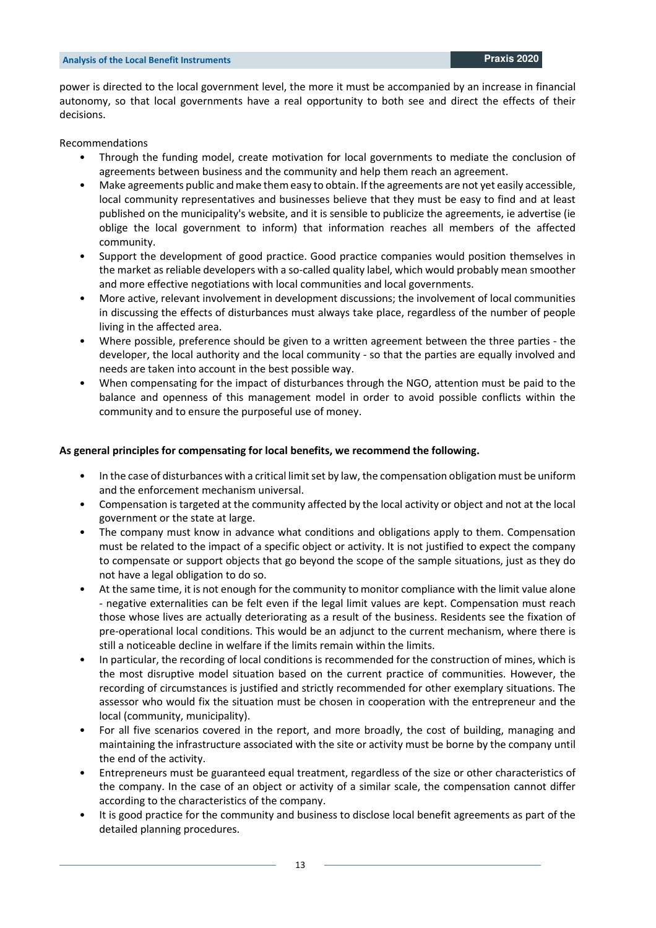power is directed to the local government level, the more it must be accompanied by an increase in financial autonomy, so that local governments have a real opportunity to both see and direct the effects of their decisions.

#### Recommendations

- Through the funding model, create motivation for local governments to mediate the conclusion of agreements between business and the community and help them reach an agreement.
- Make agreements public and make them easy to obtain. If the agreements are not yet easily accessible, local community representatives and businesses believe that they must be easy to find and at least published on the municipality's website, and it is sensible to publicize the agreements, ie advertise (ie oblige the local government to inform) that information reaches all members of the affected community.
- Support the development of good practice. Good practice companies would position themselves in the market as reliable developers with a so-called quality label, which would probably mean smoother and more effective negotiations with local communities and local governments.
- More active, relevant involvement in development discussions; the involvement of local communities in discussing the effects of disturbances must always take place, regardless of the number of people living in the affected area.
- Where possible, preference should be given to a written agreement between the three parties the developer, the local authority and the local community - so that the parties are equally involved and needs are taken into account in the best possible way.
- When compensating for the impact of disturbances through the NGO, attention must be paid to the balance and openness of this management model in order to avoid possible conflicts within the community and to ensure the purposeful use of money.

#### **As general principles for compensating for local benefits, we recommend the following.**

- In the case of disturbances with a critical limit set by law, the compensation obligation must be uniform and the enforcement mechanism universal.
- Compensation is targeted at the community affected by the local activity or object and not at the local government or the state at large.
- The company must know in advance what conditions and obligations apply to them. Compensation must be related to the impact of a specific object or activity. It is not justified to expect the company to compensate or support objects that go beyond the scope of the sample situations, just as they do not have a legal obligation to do so.
- At the same time, it is not enough for the community to monitor compliance with the limit value alone - negative externalities can be felt even if the legal limit values are kept. Compensation must reach those whose lives are actually deteriorating as a result of the business. Residents see the fixation of pre-operational local conditions. This would be an adjunct to the current mechanism, where there is still a noticeable decline in welfare if the limits remain within the limits.
- In particular, the recording of local conditions is recommended for the construction of mines, which is the most disruptive model situation based on the current practice of communities. However, the recording of circumstances is justified and strictly recommended for other exemplary situations. The assessor who would fix the situation must be chosen in cooperation with the entrepreneur and the local (community, municipality).
- For all five scenarios covered in the report, and more broadly, the cost of building, managing and maintaining the infrastructure associated with the site or activity must be borne by the company until the end of the activity.
- Entrepreneurs must be guaranteed equal treatment, regardless of the size or other characteristics of the company. In the case of an object or activity of a similar scale, the compensation cannot differ according to the characteristics of the company.
- It is good practice for the community and business to disclose local benefit agreements as part of the detailed planning procedures.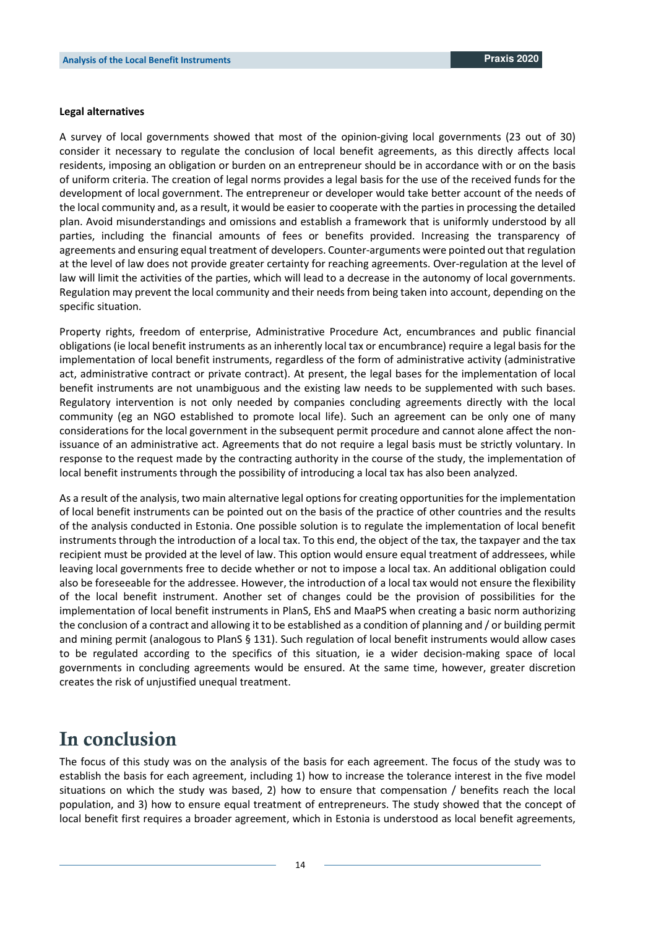#### **Legal alternatives**

A survey of local governments showed that most of the opinion-giving local governments (23 out of 30) consider it necessary to regulate the conclusion of local benefit agreements, as this directly affects local residents, imposing an obligation or burden on an entrepreneur should be in accordance with or on the basis of uniform criteria. The creation of legal norms provides a legal basis for the use of the received funds for the development of local government. The entrepreneur or developer would take better account of the needs of the local community and, as a result, it would be easier to cooperate with the parties in processing the detailed plan. Avoid misunderstandings and omissions and establish a framework that is uniformly understood by all parties, including the financial amounts of fees or benefits provided. Increasing the transparency of agreements and ensuring equal treatment of developers. Counter-arguments were pointed out that regulation at the level of law does not provide greater certainty for reaching agreements. Over-regulation at the level of law will limit the activities of the parties, which will lead to a decrease in the autonomy of local governments. Regulation may prevent the local community and their needs from being taken into account, depending on the specific situation.

Property rights, freedom of enterprise, Administrative Procedure Act, encumbrances and public financial obligations (ie local benefit instruments as an inherently local tax or encumbrance) require a legal basis for the implementation of local benefit instruments, regardless of the form of administrative activity (administrative act, administrative contract or private contract). At present, the legal bases for the implementation of local benefit instruments are not unambiguous and the existing law needs to be supplemented with such bases. Regulatory intervention is not only needed by companies concluding agreements directly with the local community (eg an NGO established to promote local life). Such an agreement can be only one of many considerations for the local government in the subsequent permit procedure and cannot alone affect the nonissuance of an administrative act. Agreements that do not require a legal basis must be strictly voluntary. In response to the request made by the contracting authority in the course of the study, the implementation of local benefit instruments through the possibility of introducing a local tax has also been analyzed.

As a result of the analysis, two main alternative legal options for creating opportunities for the implementation of local benefit instruments can be pointed out on the basis of the practice of other countries and the results of the analysis conducted in Estonia. One possible solution is to regulate the implementation of local benefit instruments through the introduction of a local tax. To this end, the object of the tax, the taxpayer and the tax recipient must be provided at the level of law. This option would ensure equal treatment of addressees, while leaving local governments free to decide whether or not to impose a local tax. An additional obligation could also be foreseeable for the addressee. However, the introduction of a local tax would not ensure the flexibility of the local benefit instrument. Another set of changes could be the provision of possibilities for the implementation of local benefit instruments in PlanS, EhS and MaaPS when creating a basic norm authorizing the conclusion of a contract and allowing it to be established as a condition of planning and / or building permit and mining permit (analogous to PlanS § 131). Such regulation of local benefit instruments would allow cases to be regulated according to the specifics of this situation, ie a wider decision-making space of local governments in concluding agreements would be ensured. At the same time, however, greater discretion creates the risk of unjustified unequal treatment.

## **In conclusion**

The focus of this study was on the analysis of the basis for each agreement. The focus of the study was to establish the basis for each agreement, including 1) how to increase the tolerance interest in the five model situations on which the study was based, 2) how to ensure that compensation / benefits reach the local population, and 3) how to ensure equal treatment of entrepreneurs. The study showed that the concept of local benefit first requires a broader agreement, which in Estonia is understood as local benefit agreements,